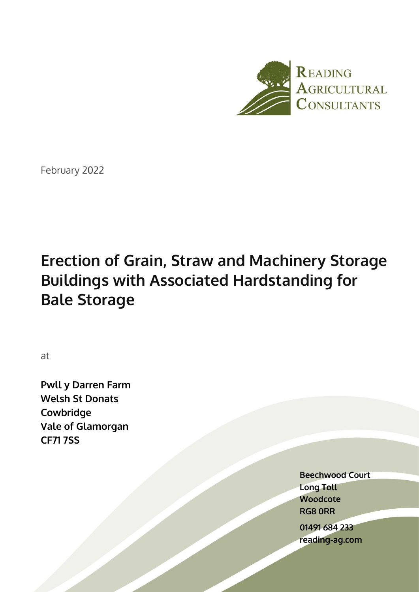

February 2022

# **Erection of Grain, Straw and Machinery Storage Buildings with Associated Hardstanding for Bale Storage**

at

**Pwll y Darren Farm Welsh St Donats Cowbridge Vale of Glamorgan CF71 7SS**

> **Beechwood Court Long Toll Woodcote RG8 0RR**

**01491 684 233 reading-ag.com**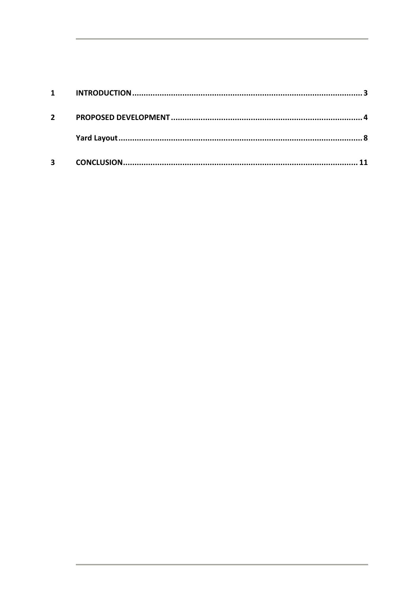| $\mathbf 1$             |  |
|-------------------------|--|
| $\mathbf{2}$            |  |
|                         |  |
| $\overline{\mathbf{3}}$ |  |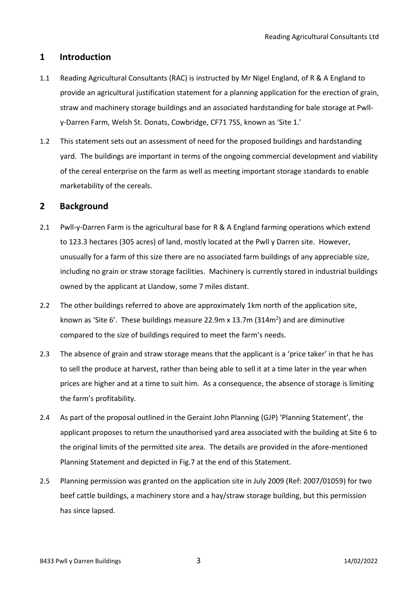# <span id="page-2-0"></span>**1 Introduction**

- 1.1 Reading Agricultural Consultants (RAC) is instructed by Mr Nigel England, of R & A England to provide an agricultural justification statement for a planning application for the erection of grain, straw and machinery storage buildings and an associated hardstanding for bale storage at Pwlly-Darren Farm, Welsh St. Donats, Cowbridge, CF71 7SS, known as 'Site 1.'
- 1.2 This statement sets out an assessment of need for the proposed buildings and hardstanding yard. The buildings are important in terms of the ongoing commercial development and viability of the cereal enterprise on the farm as well as meeting important storage standards to enable marketability of the cereals.

## **2 Background**

- 2.1 Pwll-y-Darren Farm is the agricultural base for R & A England farming operations which extend to 123.3 hectares (305 acres) of land, mostly located at the Pwll y Darren site. However, unusually for a farm of this size there are no associated farm buildings of any appreciable size, including no grain or straw storage facilities. Machinery is currently stored in industrial buildings owned by the applicant at Llandow, some 7 miles distant.
- 2.2 The other buildings referred to above are approximately 1 km north of the application site. known as 'Site 6'. These buildings measure 22.9m x 13.7m (314 $m<sup>2</sup>$ ) and are diminutive compared to the size of buildings required to meet the farm's needs.
- 2.3 The absence of grain and straw storage means that the applicant is a 'price taker' in that he has to sell the produce at harvest, rather than being able to sell it at a time later in the year when prices are higher and at a time to suit him. As a consequence, the absence of storage is limiting the farm's profitability.
- 2.4 As part of the proposal outlined in the Geraint John Planning (GJP) 'Planning Statement', the applicant proposes to return the unauthorised yard area associated with the building at Site 6 to the original limits of the permitted site area. The details are provided in the afore-mentioned Planning Statement and depicted in Fig.7 at the end of this Statement.
- 2.5 Planning permission was granted on the application site in July 2009 (Ref: 2007/01059) for two beef cattle buildings, a machinery store and a hay/straw storage building, but this permission has since lapsed.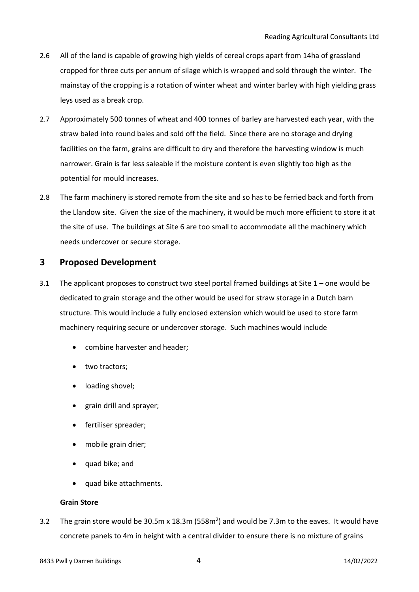- 2.6 All of the land is capable of growing high yields of cereal crops apart from 14ha of grassland cropped for three cuts per annum of silage which is wrapped and sold through the winter. The mainstay of the cropping is a rotation of winter wheat and winter barley with high yielding grass leys used as a break crop.
- 2.7 Approximately 500 tonnes of wheat and 400 tonnes of barley are harvested each year, with the straw baled into round bales and sold off the field. Since there are no storage and drying facilities on the farm, grains are difficult to dry and therefore the harvesting window is much narrower. Grain is far less saleable if the moisture content is even slightly too high as the potential for mould increases.
- 2.8 The farm machinery is stored remote from the site and so has to be ferried back and forth from the Llandow site. Given the size of the machinery, it would be much more efficient to store it at the site of use. The buildings at Site 6 are too small to accommodate all the machinery which needs undercover or secure storage.

## <span id="page-3-0"></span>**3 Proposed Development**

- 3.1 The applicant proposes to construct two steel portal framed buildings at Site 1 one would be dedicated to grain storage and the other would be used for straw storage in a Dutch barn structure. This would include a fully enclosed extension which would be used to store farm machinery requiring secure or undercover storage. Such machines would include
	- combine harvester and header;
	- two tractors;
	- loading shovel;
	- grain drill and sprayer;
	- fertiliser spreader;
	- mobile grain drier;
	- quad bike; and
	- quad bike attachments.

#### **Grain Store**

3.2 The grain store would be 30.5m x 18.3m (558m<sup>2</sup>) and would be 7.3m to the eaves. It would have concrete panels to 4m in height with a central divider to ensure there is no mixture of grains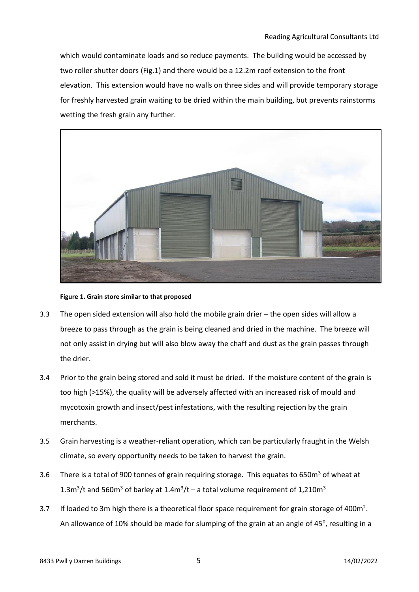which would contaminate loads and so reduce payments. The building would be accessed by two roller shutter doors (Fig.1) and there would be a 12.2m roof extension to the front elevation. This extension would have no walls on three sides and will provide temporary storage for freshly harvested grain waiting to be dried within the main building, but prevents rainstorms wetting the fresh grain any further.



**Figure 1. Grain store similar to that proposed**

- 3.3 The open sided extension will also hold the mobile grain drier the open sides will allow a breeze to pass through as the grain is being cleaned and dried in the machine. The breeze will not only assist in drying but will also blow away the chaff and dust as the grain passes through the drier.
- 3.4 Prior to the grain being stored and sold it must be dried. If the moisture content of the grain is too high (>15%), the quality will be adversely affected with an increased risk of mould and mycotoxin growth and insect/pest infestations, with the resulting rejection by the grain merchants.
- 3.5 Grain harvesting is a weather-reliant operation, which can be particularly fraught in the Welsh climate, so every opportunity needs to be taken to harvest the grain.
- 3.6 There is a total of 900 tonnes of grain requiring storage. This equates to 650 $m<sup>3</sup>$  of wheat at 1.3m<sup>3</sup>/t and 560m<sup>3</sup> of barley at 1.4m<sup>3</sup>/t – a total volume requirement of 1,210m<sup>3</sup>
- 3.7 If loaded to 3m high there is a theoretical floor space requirement for grain storage of 400 $m^2$ . An allowance of 10% should be made for slumping of the grain at an angle of 45<sup>0</sup>, resulting in a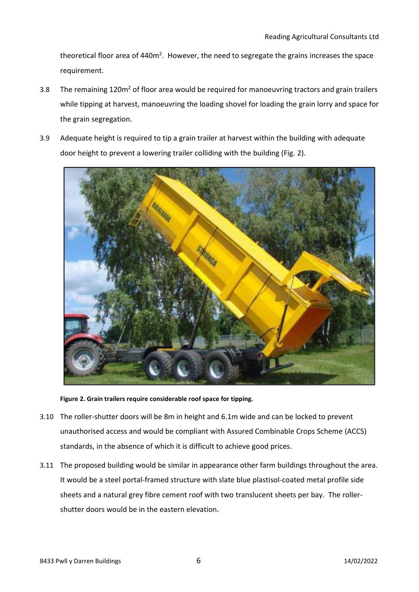theoretical floor area of 440m<sup>2</sup>. However, the need to segregate the grains increases the space requirement.

- 3.8 The remaining 120m<sup>2</sup> of floor area would be required for manoeuvring tractors and grain trailers while tipping at harvest, manoeuvring the loading shovel for loading the grain lorry and space for the grain segregation.
- 3.9 Adequate height is required to tip a grain trailer at harvest within the building with adequate door height to prevent a lowering trailer colliding with the building (Fig. 2).



**Figure 2. Grain trailers require considerable roof space for tipping.**

- 3.10 The roller-shutter doors will be 8m in height and 6.1m wide and can be locked to prevent unauthorised access and would be compliant with Assured Combinable Crops Scheme (ACCS) standards, in the absence of which it is difficult to achieve good prices.
- 3.11 The proposed building would be similar in appearance other farm buildings throughout the area. It would be a steel portal-framed structure with slate blue plastisol-coated metal profile side sheets and a natural grey fibre cement roof with two translucent sheets per bay. The rollershutter doors would be in the eastern elevation.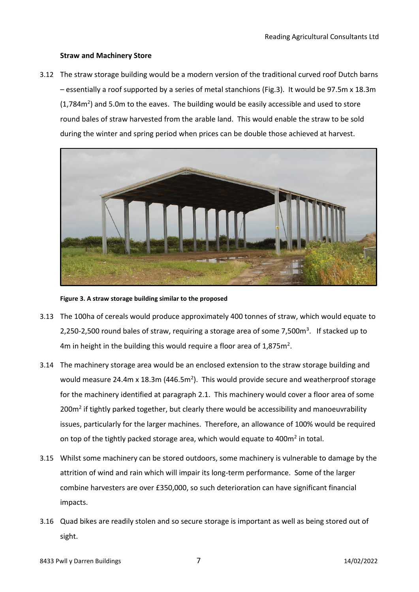#### **Straw and Machinery Store**

3.12 The straw storage building would be a modern version of the traditional curved roof Dutch barns – essentially a roof supported by a series of metal stanchions (Fig.3). It would be 97.5m x 18.3m  $(1,784m<sup>2</sup>)$  and 5.0m to the eaves. The building would be easily accessible and used to store round bales of straw harvested from the arable land. This would enable the straw to be sold during the winter and spring period when prices can be double those achieved at harvest.



**Figure 3. A straw storage building similar to the proposed**

- 3.13 The 100ha of cereals would produce approximately 400 tonnes of straw, which would equate to 2,250-2,500 round bales of straw, requiring a storage area of some 7,500m<sup>3</sup>. If stacked up to 4m in height in the building this would require a floor area of  $1,875$ m<sup>2</sup>.
- 3.14 The machinery storage area would be an enclosed extension to the straw storage building and would measure 24.4m x 18.3m (446.5m<sup>2</sup>). This would provide secure and weatherproof storage for the machinery identified at paragraph 2.1. This machinery would cover a floor area of some 200m<sup>2</sup> if tightly parked together, but clearly there would be accessibility and manoeuvrability issues, particularly for the larger machines. Therefore, an allowance of 100% would be required on top of the tightly packed storage area, which would equate to 400m<sup>2</sup> in total.
- 3.15 Whilst some machinery can be stored outdoors, some machinery is vulnerable to damage by the attrition of wind and rain which will impair its long-term performance. Some of the larger combine harvesters are over £350,000, so such deterioration can have significant financial impacts.
- 3.16 Quad bikes are readily stolen and so secure storage is important as well as being stored out of sight.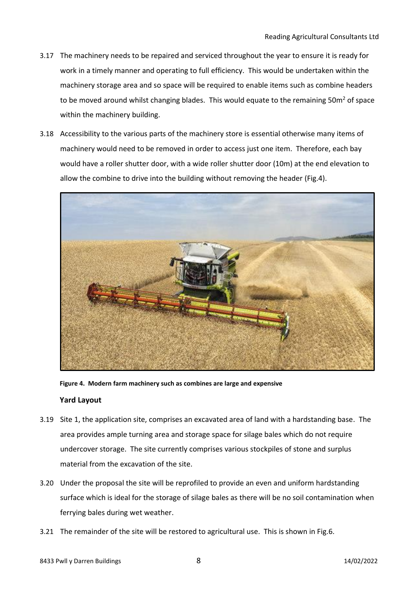- 3.17 The machinery needs to be repaired and serviced throughout the year to ensure it is ready for work in a timely manner and operating to full efficiency. This would be undertaken within the machinery storage area and so space will be required to enable items such as combine headers to be moved around whilst changing blades. This would equate to the remaining  $50m^2$  of space within the machinery building.
- 3.18 Accessibility to the various parts of the machinery store is essential otherwise many items of machinery would need to be removed in order to access just one item. Therefore, each bay would have a roller shutter door, with a wide roller shutter door (10m) at the end elevation to allow the combine to drive into the building without removing the header (Fig.4).



**Figure 4. Modern farm machinery such as combines are large and expensive**

### <span id="page-7-0"></span>**Yard Layout**

- 3.19 Site 1, the application site, comprises an excavated area of land with a hardstanding base. The area provides ample turning area and storage space for silage bales which do not require undercover storage. The site currently comprises various stockpiles of stone and surplus material from the excavation of the site.
- 3.20 Under the proposal the site will be reprofiled to provide an even and uniform hardstanding surface which is ideal for the storage of silage bales as there will be no soil contamination when ferrying bales during wet weather.
- 3.21 The remainder of the site will be restored to agricultural use. This is shown in Fig.6.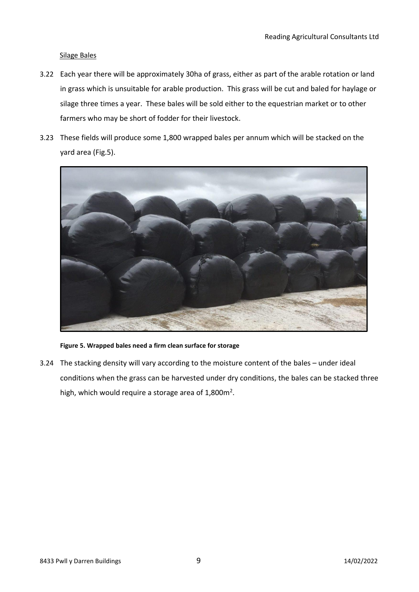#### Silage Bales

- 3.22 Each year there will be approximately 30ha of grass, either as part of the arable rotation or land in grass which is unsuitable for arable production. This grass will be cut and baled for haylage or silage three times a year. These bales will be sold either to the equestrian market or to other farmers who may be short of fodder for their livestock.
- 3.23 These fields will produce some 1,800 wrapped bales per annum which will be stacked on the yard area (Fig.5).



#### **Figure 5. Wrapped bales need a firm clean surface for storage**

3.24 The stacking density will vary according to the moisture content of the bales – under ideal conditions when the grass can be harvested under dry conditions, the bales can be stacked three high, which would require a storage area of  $1,800$ m<sup>2</sup>.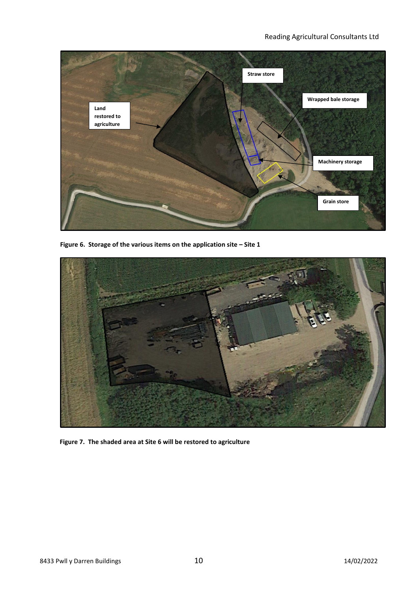

**Figure 6. Storage of the various items on the application site – Site 1**



**Figure 7. The shaded area at Site 6 will be restored to agriculture**